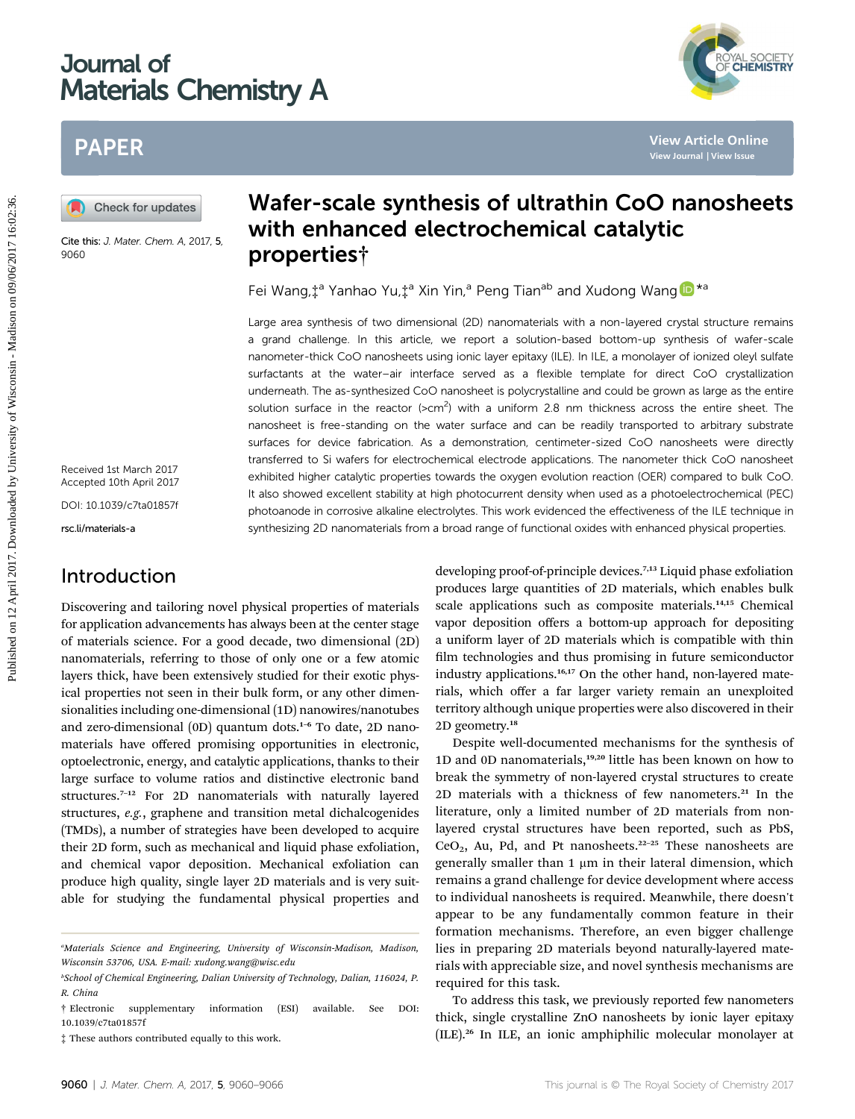# Journal of Materials Chemistry A

# PAPER

Cite this: J. Mater. Chem. A, 2017, 5, 9060

Received 1st March 2017 Accepted 10th April 2017

DOI: 10.1039/c7ta01857f

rsc.li/materials-a

# Introduction

Discovering and tailoring novel physical properties of materials for application advancements has always been at the center stage of materials science. For a good decade, two dimensional (2D) nanomaterials, referring to those of only one or a few atomic layers thick, have been extensively studied for their exotic physical properties not seen in their bulk form, or any other dimensionalities including one-dimensional (1D) nanowires/nanotubes and zero-dimensional (0D) quantum dots.<sup>1-6</sup> To date, 2D nanomaterials have offered promising opportunities in electronic, optoelectronic, energy, and catalytic applications, thanks to their large surface to volume ratios and distinctive electronic band structures.<sup>7</sup>–<sup>12</sup> For 2D nanomaterials with naturally layered structures, e.g., graphene and transition metal dichalcogenides (TMDs), a number of strategies have been developed to acquire their 2D form, such as mechanical and liquid phase exfoliation, and chemical vapor deposition. Mechanical exfoliation can produce high quality, single layer 2D materials and is very suitable for studying the fundamental physical properties and

# Wafer-scale synthesis of ultrathin CoO nanosheets with enhanced electrochemical catalytic properties†

Fei Wang, $\ddagger$ <sup>a</sup> Yanhao Yu, $\ddagger$ <sup>a</sup> Xin Yin,<sup>a</sup> Peng Tian<sup>ab</sup> and Xudong Wang <sup>1</sup>

Large area synthesis of two dimensional (2D) nanomaterials with a non-layered crystal structure remains a grand challenge. In this article, we report a solution-based bottom-up synthesis of wafer-scale nanometer-thick CoO nanosheets using ionic layer epitaxy (ILE). In ILE, a monolayer of ionized oleyl sulfate surfactants at the water–air interface served as a flexible template for direct CoO crystallization underneath. The as-synthesized CoO nanosheet is polycrystalline and could be grown as large as the entire solution surface in the reactor  $\left($ >cm<sup>2</sup> $\right)$  with a uniform 2.8 nm thickness across the entire sheet. The nanosheet is free-standing on the water surface and can be readily transported to arbitrary substrate surfaces for device fabrication. As a demonstration, centimeter-sized CoO nanosheets were directly transferred to Si wafers for electrochemical electrode applications. The nanometer thick CoO nanosheet exhibited higher catalytic properties towards the oxygen evolution reaction (OER) compared to bulk CoO. It also showed excellent stability at high photocurrent density when used as a photoelectrochemical (PEC) photoanode in corrosive alkaline electrolytes. This work evidenced the effectiveness of the ILE technique in synthesizing 2D nanomaterials from a broad range of functional oxides with enhanced physical properties. PAPER<br> **Published on 12 April 2017.**<br> **Published on 12 April 2017.**<br> **Solution**<br> **Published on 12 April 2017.**<br> **Published and the consistent of Consistent CO and the consistent of Wisconsin CO and the consistent of Wiscon** 

developing proof-of-principle devices.<sup>7,13</sup> Liquid phase exfoliation produces large quantities of 2D materials, which enables bulk scale applications such as composite materials.14,15 Chemical vapor deposition offers a bottom-up approach for depositing a uniform layer of 2D materials which is compatible with thin film technologies and thus promising in future semiconductor industry applications.<sup>16,17</sup> On the other hand, non-layered materials, which offer a far larger variety remain an unexploited territory although unique properties were also discovered in their 2D geometry.<sup>18</sup>

Despite well-documented mechanisms for the synthesis of 1D and 0D nanomaterials,<sup>19,20</sup> little has been known on how to break the symmetry of non-layered crystal structures to create 2D materials with a thickness of few nanometers. $^{21}$  In the literature, only a limited number of 2D materials from nonlayered crystal structures have been reported, such as PbS,  $CeO<sub>2</sub>$ , Au, Pd, and Pt nanosheets.<sup>22–25</sup> These nanosheets are generally smaller than  $1 \mu m$  in their lateral dimension, which remains a grand challenge for device development where access to individual nanosheets is required. Meanwhile, there doesn't appear to be any fundamentally common feature in their formation mechanisms. Therefore, an even bigger challenge lies in preparing 2D materials beyond naturally-layered materials with appreciable size, and novel synthesis mechanisms are required for this task.

To address this task, we previously reported few nanometers thick, single crystalline ZnO nanosheets by ionic layer epitaxy (ILE).<sup>26</sup> In ILE, an ionic amphiphilic molecular monolayer at



a Materials Science and Engineering, University of Wisconsin-Madison, Madison, Wisconsin 53706, USA. E-mail: xudong.wang@wisc.edu

b School of Chemical Engineering, Dalian University of Technology, Dalian, 116024, P. R. China

<sup>†</sup> Electronic supplementary information (ESI) available. See DOI: 10.1039/c7ta01857f

<sup>‡</sup> These authors contributed equally to this work.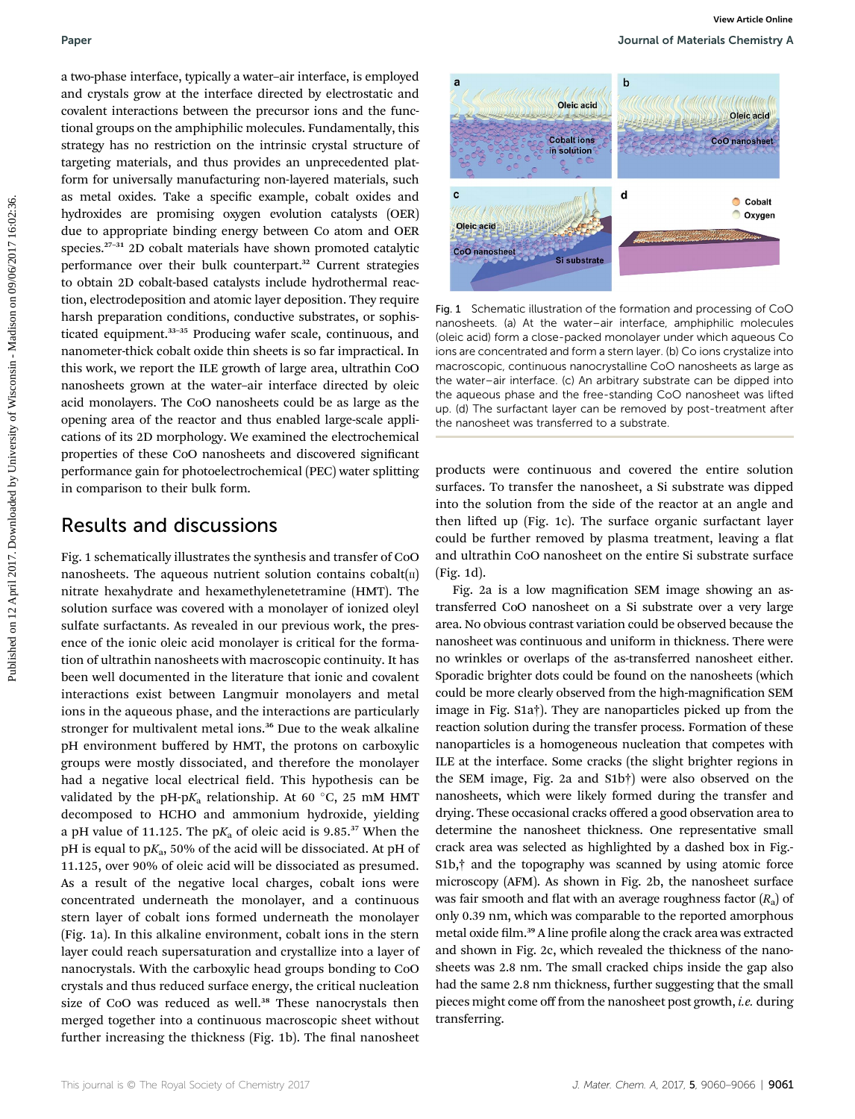a two-phase interface, typically a water–air interface, is employed and crystals grow at the interface directed by electrostatic and covalent interactions between the precursor ions and the functional groups on the amphiphilic molecules. Fundamentally, this strategy has no restriction on the intrinsic crystal structure of targeting materials, and thus provides an unprecedented platform for universally manufacturing non-layered materials, such as metal oxides. Take a specific example, cobalt oxides and hydroxides are promising oxygen evolution catalysts (OER) due to appropriate binding energy between Co atom and OER species.<sup>27</sup>–<sup>31</sup> 2D cobalt materials have shown promoted catalytic performance over their bulk counterpart.<sup>32</sup> Current strategies to obtain 2D cobalt-based catalysts include hydrothermal reaction, electrodeposition and atomic layer deposition. They require harsh preparation conditions, conductive substrates, or sophisticated equipment.<sup>33-35</sup> Producing wafer scale, continuous, and nanometer-thick cobalt oxide thin sheets is so far impractical. In this work, we report the ILE growth of large area, ultrathin CoO nanosheets grown at the water–air interface directed by oleic acid monolayers. The CoO nanosheets could be as large as the opening area of the reactor and thus enabled large-scale applications of its 2D morphology. We examined the electrochemical properties of these CoO nanosheets and discovered signicant performance gain for photoelectrochemical (PEC) water splitting in comparison to their bulk form. Puper<br> **Published on 12 April 2017.** The Regulation of the Regulation of the Regulation on 12 April 2017. The University of University of University of University of University of University of University of Wisconsin and

## Results and discussions

Fig. 1 schematically illustrates the synthesis and transfer of CoO nanosheets. The aqueous nutrient solution contains  $\text{cobalt}(\text{II})$ nitrate hexahydrate and hexamethylenetetramine (HMT). The solution surface was covered with a monolayer of ionized oleyl sulfate surfactants. As revealed in our previous work, the presence of the ionic oleic acid monolayer is critical for the formation of ultrathin nanosheets with macroscopic continuity. It has been well documented in the literature that ionic and covalent interactions exist between Langmuir monolayers and metal ions in the aqueous phase, and the interactions are particularly stronger for multivalent metal ions.<sup>36</sup> Due to the weak alkaline pH environment buffered by HMT, the protons on carboxylic groups were mostly dissociated, and therefore the monolayer had a negative local electrical field. This hypothesis can be validated by the pH-p $K_a$  relationship. At 60 °C, 25 mM HMT decomposed to HCHO and ammonium hydroxide, yielding a pH value of 11.125. The  $pK_a$  of oleic acid is 9.85.<sup>37</sup> When the pH is equal to  $pK_a$ , 50% of the acid will be dissociated. At pH of 11.125, over 90% of oleic acid will be dissociated as presumed. As a result of the negative local charges, cobalt ions were concentrated underneath the monolayer, and a continuous stern layer of cobalt ions formed underneath the monolayer (Fig. 1a). In this alkaline environment, cobalt ions in the stern layer could reach supersaturation and crystallize into a layer of nanocrystals. With the carboxylic head groups bonding to CoO crystals and thus reduced surface energy, the critical nucleation size of CoO was reduced as well.<sup>38</sup> These nanocrystals then merged together into a continuous macroscopic sheet without further increasing the thickness (Fig. 1b). The final nanosheet



Fig. 1 Schematic illustration of the formation and processing of CoO nanosheets. (a) At the water–air interface, amphiphilic molecules (oleic acid) form a close-packed monolayer under which aqueous Co ions are concentrated and form a stern layer. (b) Co ions crystalize into macroscopic, continuous nanocrystalline CoO nanosheets as large as the water–air interface. (c) An arbitrary substrate can be dipped into the aqueous phase and the free-standing CoO nanosheet was lifted up. (d) The surfactant layer can be removed by post-treatment after the nanosheet was transferred to a substrate.

products were continuous and covered the entire solution surfaces. To transfer the nanosheet, a Si substrate was dipped into the solution from the side of the reactor at an angle and then lifted up (Fig. 1c). The surface organic surfactant layer could be further removed by plasma treatment, leaving a flat and ultrathin CoO nanosheet on the entire Si substrate surface (Fig. 1d).

Fig. 2a is a low magnification SEM image showing an astransferred CoO nanosheet on a Si substrate over a very large area. No obvious contrast variation could be observed because the nanosheet was continuous and uniform in thickness. There were no wrinkles or overlaps of the as-transferred nanosheet either. Sporadic brighter dots could be found on the nanosheets (which could be more clearly observed from the high-magnification SEM image in Fig. S1a†). They are nanoparticles picked up from the reaction solution during the transfer process. Formation of these nanoparticles is a homogeneous nucleation that competes with ILE at the interface. Some cracks (the slight brighter regions in the SEM image, Fig. 2a and S1b†) were also observed on the nanosheets, which were likely formed during the transfer and drying. These occasional cracks offered a good observation area to determine the nanosheet thickness. One representative small crack area was selected as highlighted by a dashed box in Fig.- S1b,† and the topography was scanned by using atomic force microscopy (AFM). As shown in Fig. 2b, the nanosheet surface was fair smooth and flat with an average roughness factor  $(R<sub>a</sub>)$  of only 0.39 nm, which was comparable to the reported amorphous metal oxide film.<sup>39</sup> A line profile along the crack area was extracted and shown in Fig. 2c, which revealed the thickness of the nanosheets was 2.8 nm. The small cracked chips inside the gap also had the same 2.8 nm thickness, further suggesting that the small pieces might come off from the nanosheet post growth, i.e. during transferring.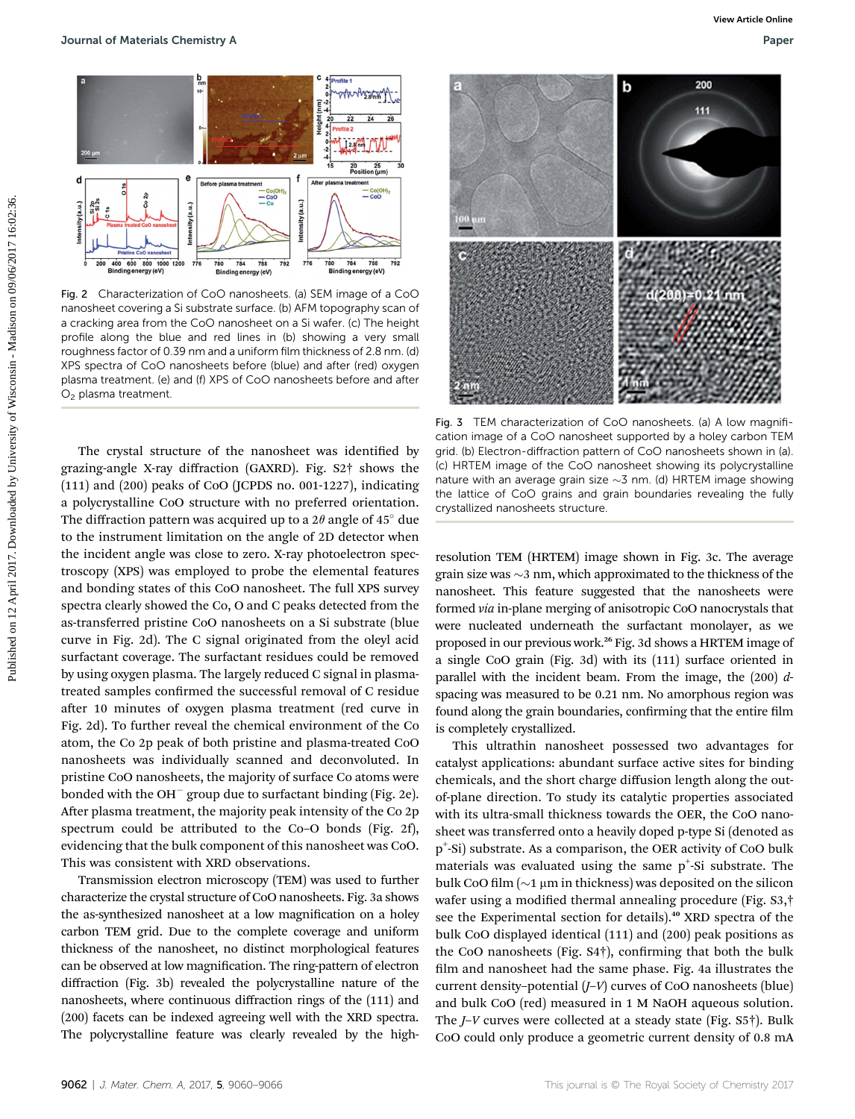

Fig. 2 Characterization of CoO nanosheets. (a) SEM image of a CoO nanosheet covering a Si substrate surface. (b) AFM topography scan of a cracking area from the CoO nanosheet on a Si wafer. (c) The height profile along the blue and red lines in (b) showing a very small roughness factor of 0.39 nm and a uniform film thickness of 2.8 nm. (d) XPS spectra of CoO nanosheets before (blue) and after (red) oxygen plasma treatment. (e) and (f) XPS of CoO nanosheets before and after O<sub>2</sub> plasma treatment.

The crystal structure of the nanosheet was identified by grazing-angle X-ray diffraction (GAXRD). Fig. S2† shows the (111) and (200) peaks of CoO (JCPDS no. 001-1227), indicating a polycrystalline CoO structure with no preferred orientation. The diffraction pattern was acquired up to a  $2\theta$  angle of  $45^\circ$  due to the instrument limitation on the angle of 2D detector when the incident angle was close to zero. X-ray photoelectron spectroscopy (XPS) was employed to probe the elemental features and bonding states of this CoO nanosheet. The full XPS survey spectra clearly showed the Co, O and C peaks detected from the as-transferred pristine CoO nanosheets on a Si substrate (blue curve in Fig. 2d). The C signal originated from the oleyl acid surfactant coverage. The surfactant residues could be removed by using oxygen plasma. The largely reduced C signal in plasmatreated samples confirmed the successful removal of C residue after 10 minutes of oxygen plasma treatment (red curve in Fig. 2d). To further reveal the chemical environment of the Co atom, the Co 2p peak of both pristine and plasma-treated CoO nanosheets was individually scanned and deconvoluted. In pristine CoO nanosheets, the majority of surface Co atoms were bonded with the OH $^-$  group due to surfactant binding (Fig. 2e). After plasma treatment, the majority peak intensity of the Co 2p spectrum could be attributed to the Co–O bonds (Fig. 2f), evidencing that the bulk component of this nanosheet was CoO. This was consistent with XRD observations.

Transmission electron microscopy (TEM) was used to further characterize the crystal structure of CoO nanosheets. Fig. 3a shows the as-synthesized nanosheet at a low magnification on a holey carbon TEM grid. Due to the complete coverage and uniform thickness of the nanosheet, no distinct morphological features can be observed at low magnification. The ring-pattern of electron diffraction (Fig. 3b) revealed the polycrystalline nature of the nanosheets, where continuous diffraction rings of the (111) and (200) facets can be indexed agreeing well with the XRD spectra. The polycrystalline feature was clearly revealed by the high-





Fig. 3 TEM characterization of CoO nanosheets. (a) A low magnification image of a CoO nanosheet supported by a holey carbon TEM grid. (b) Electron-diffraction pattern of CoO nanosheets shown in (a). (c) HRTEM image of the CoO nanosheet showing its polycrystalline nature with an average grain size  $\sim$ 3 nm. (d) HRTEM image showing the lattice of CoO grains and grain boundaries revealing the fully crystallized nanosheets structure.

resolution TEM (HRTEM) image shown in Fig. 3c. The average grain size was  $\sim$ 3 nm, which approximated to the thickness of the nanosheet. This feature suggested that the nanosheets were formed via in-plane merging of anisotropic CoO nanocrystals that were nucleated underneath the surfactant monolayer, as we proposed in our previous work.<sup>26</sup> Fig. 3d shows a HRTEM image of a single CoO grain (Fig. 3d) with its (111) surface oriented in parallel with the incident beam. From the image, the  $(200)$  dspacing was measured to be 0.21 nm. No amorphous region was found along the grain boundaries, confirming that the entire film is completely crystallized.

This ultrathin nanosheet possessed two advantages for catalyst applications: abundant surface active sites for binding chemicals, and the short charge diffusion length along the outof-plane direction. To study its catalytic properties associated with its ultra-small thickness towards the OER, the CoO nanosheet was transferred onto a heavily doped p-type Si (denoted as p+ -Si) substrate. As a comparison, the OER activity of CoO bulk materials was evaluated using the same  $p^+$ -Si substrate. The bulk CoO film ( $\sim$ 1 µm in thickness) was deposited on the silicon wafer using a modified thermal annealing procedure (Fig. S3,<sup>†</sup> see the Experimental section for details).<sup>40</sup> XRD spectra of the bulk CoO displayed identical (111) and (200) peak positions as the CoO nanosheets (Fig.  $S4\dagger$ ), confirming that both the bulk film and nanosheet had the same phase. Fig. 4a illustrates the current density–potential (J–V) curves of CoO nanosheets (blue) and bulk CoO (red) measured in 1 M NaOH aqueous solution. The J–V curves were collected at a steady state (Fig. S5†). Bulk CoO could only produce a geometric current density of 0.8 mA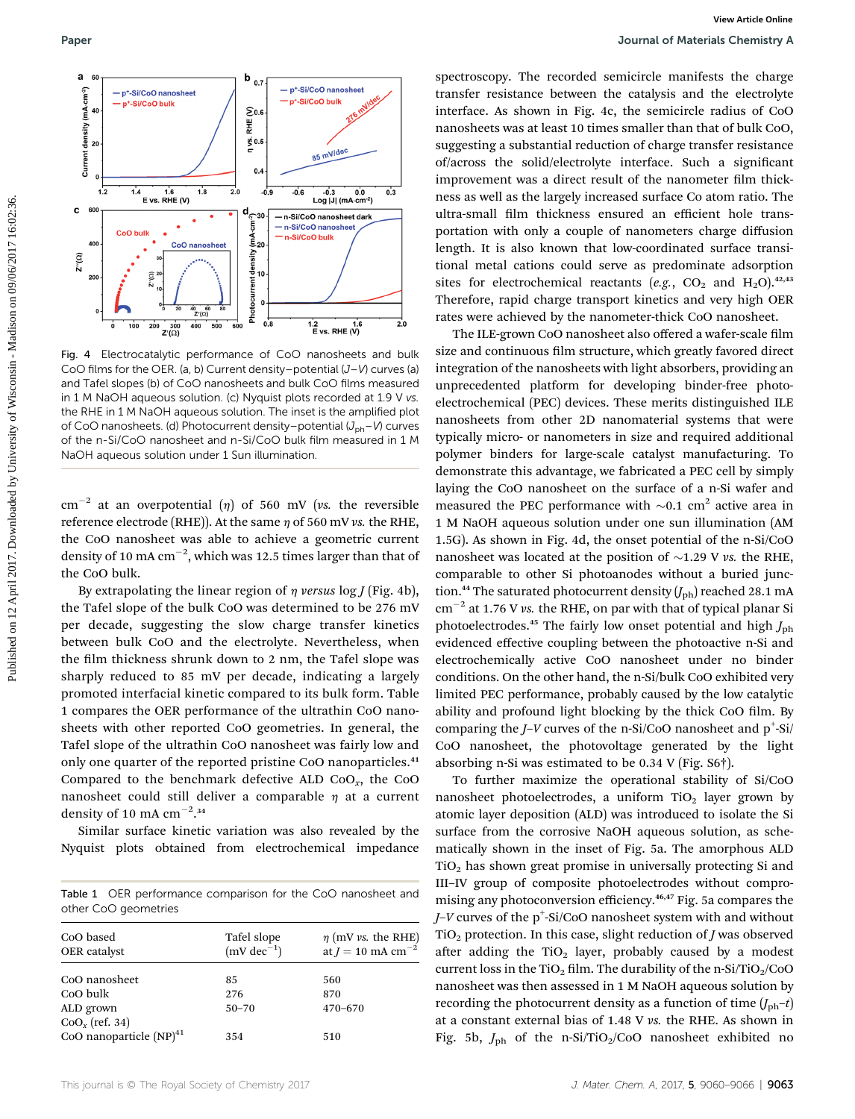

Fig. 4 Electrocatalytic performance of CoO nanosheets and bulk CoO films for the OER. (a, b) Current density–potential (J–V) curves (a) and Tafel slopes (b) of CoO nanosheets and bulk CoO films measured in 1 M NaOH aqueous solution. (c) Nyquist plots recorded at 1.9 V vs. the RHE in 1 M NaOH aqueous solution. The inset is the amplified plot of CoO nanosheets. (d) Photocurrent density–potential  $(J_{ph}-V)$  curves of the n-Si/CoO nanosheet and n-Si/CoO bulk film measured in 1 M NaOH aqueous solution under 1 Sun illumination.

cm<sup>-2</sup> at an overpotential ( $\eta$ ) of 560 mV (vs. the reversible reference electrode (RHE)). At the same  $\eta$  of 560 mV vs. the RHE, the CoO nanosheet was able to achieve a geometric current density of 10 mA  $\rm cm^{-2}$ , which was 12.5 times larger than that of the CoO bulk.

By extrapolating the linear region of  $\eta$  versus log *J* (Fig. 4b), the Tafel slope of the bulk CoO was determined to be 276 mV per decade, suggesting the slow charge transfer kinetics between bulk CoO and the electrolyte. Nevertheless, when the film thickness shrunk down to 2 nm, the Tafel slope was sharply reduced to 85 mV per decade, indicating a largely promoted interfacial kinetic compared to its bulk form. Table 1 compares the OER performance of the ultrathin CoO nanosheets with other reported CoO geometries. In general, the Tafel slope of the ultrathin CoO nanosheet was fairly low and only one quarter of the reported pristine CoO nanoparticles.<sup>41</sup> Compared to the benchmark defective ALD  $CoO<sub>x</sub>$ , the  $CoO$ nanosheet could still deliver a comparable  $\eta$  at a current density of 10 mA  $\text{cm}^{-2}$ .<sup>34</sup>

Similar surface kinetic variation was also revealed by the Nyquist plots obtained from electrochemical impedance

Table 1 OER performance comparison for the CoO nanosheet and other CoO geometries

| CoO based<br>OER catalyst    | Tafel slope<br>$(mV dec^{-1})$ | $\eta$ (mV vs. the RHE)<br>at $J = 10$ mA cm <sup>-2</sup> |
|------------------------------|--------------------------------|------------------------------------------------------------|
| CoO nanosheet                | 85                             | 560                                                        |
| CoO bulk                     | 276                            | 870                                                        |
| ALD grown                    | $50 - 70$                      | $470 - 670$                                                |
| $CoOx$ (ref. 34)             |                                |                                                            |
| CoO nanoparticle $(NP)^{41}$ | 354                            | 510                                                        |

spectroscopy. The recorded semicircle manifests the charge transfer resistance between the catalysis and the electrolyte interface. As shown in Fig. 4c, the semicircle radius of CoO nanosheets was at least 10 times smaller than that of bulk CoO, suggesting a substantial reduction of charge transfer resistance of/across the solid/electrolyte interface. Such a signicant improvement was a direct result of the nanometer film thickness as well as the largely increased surface Co atom ratio. The ultra-small film thickness ensured an efficient hole transportation with only a couple of nanometers charge diffusion length. It is also known that low-coordinated surface transitional metal cations could serve as predominate adsorption sites for electrochemical reactants (e.g.,  $CO_2$  and  $H_2O$ ).<sup>42,43</sup> Therefore, rapid charge transport kinetics and very high OER rates were achieved by the nanometer-thick CoO nanosheet.

The ILE-grown CoO nanosheet also offered a wafer-scale film size and continuous film structure, which greatly favored direct integration of the nanosheets with light absorbers, providing an unprecedented platform for developing binder-free photoelectrochemical (PEC) devices. These merits distinguished ILE nanosheets from other 2D nanomaterial systems that were typically micro- or nanometers in size and required additional polymer binders for large-scale catalyst manufacturing. To demonstrate this advantage, we fabricated a PEC cell by simply laying the CoO nanosheet on the surface of a n-Si wafer and measured the PEC performance with  $\sim 0.1$  cm<sup>2</sup> active area in 1 M NaOH aqueous solution under one sun illumination (AM 1.5G). As shown in Fig. 4d, the onset potential of the n-Si/CoO nanosheet was located at the position of  $\sim$ 1.29 V vs. the RHE, comparable to other Si photoanodes without a buried junction.<sup>44</sup> The saturated photocurrent density  $(J_{\text{ph}})$  reached 28.1 mA  $\text{cm}^{-2}$  at 1.76 V vs. the RHE, on par with that of typical planar Si photoelectrodes.<sup>45</sup> The fairly low onset potential and high  $J_{\rm ph}$ evidenced effective coupling between the photoactive n-Si and electrochemically active CoO nanosheet under no binder conditions. On the other hand, the n-Si/bulk CoO exhibited very limited PEC performance, probably caused by the low catalytic ability and profound light blocking by the thick CoO film. By comparing the  $J-V$  curves of the n-Si/CoO nanosheet and  $p^+$ -Si/ CoO nanosheet, the photovoltage generated by the light absorbing n-Si was estimated to be 0.34 V (Fig. S6†). Published on 12 April 2017.<br>
Published on 12 April 2017. The control of the control on the published by University of Wisconsin and the Control of the Control of the Control of University of Control of University of Contr

> To further maximize the operational stability of Si/CoO nanosheet photoelectrodes, a uniform  $TiO<sub>2</sub>$  layer grown by atomic layer deposition (ALD) was introduced to isolate the Si surface from the corrosive NaOH aqueous solution, as schematically shown in the inset of Fig. 5a. The amorphous ALD TiO2 has shown great promise in universally protecting Si and III–IV group of composite photoelectrodes without compromising any photoconversion efficiency.46,47 Fig. 5a compares the J–V curves of the  $\rm p^+$ -Si/CoO nanosheet system with and without TiO<sub>2</sub> protection. In this case, slight reduction of *J* was observed after adding the  $TiO<sub>2</sub>$  layer, probably caused by a modest current loss in the TiO<sub>2</sub> film. The durability of the n-Si/TiO<sub>2</sub>/CoO nanosheet was then assessed in 1 M NaOH aqueous solution by recording the photocurrent density as a function of time  $(J_{\text{ph}}-t)$ at a constant external bias of 1.48 V vs. the RHE. As shown in Fig. 5b,  $J_{\rm ph}$  of the n-Si/TiO<sub>2</sub>/CoO nanosheet exhibited no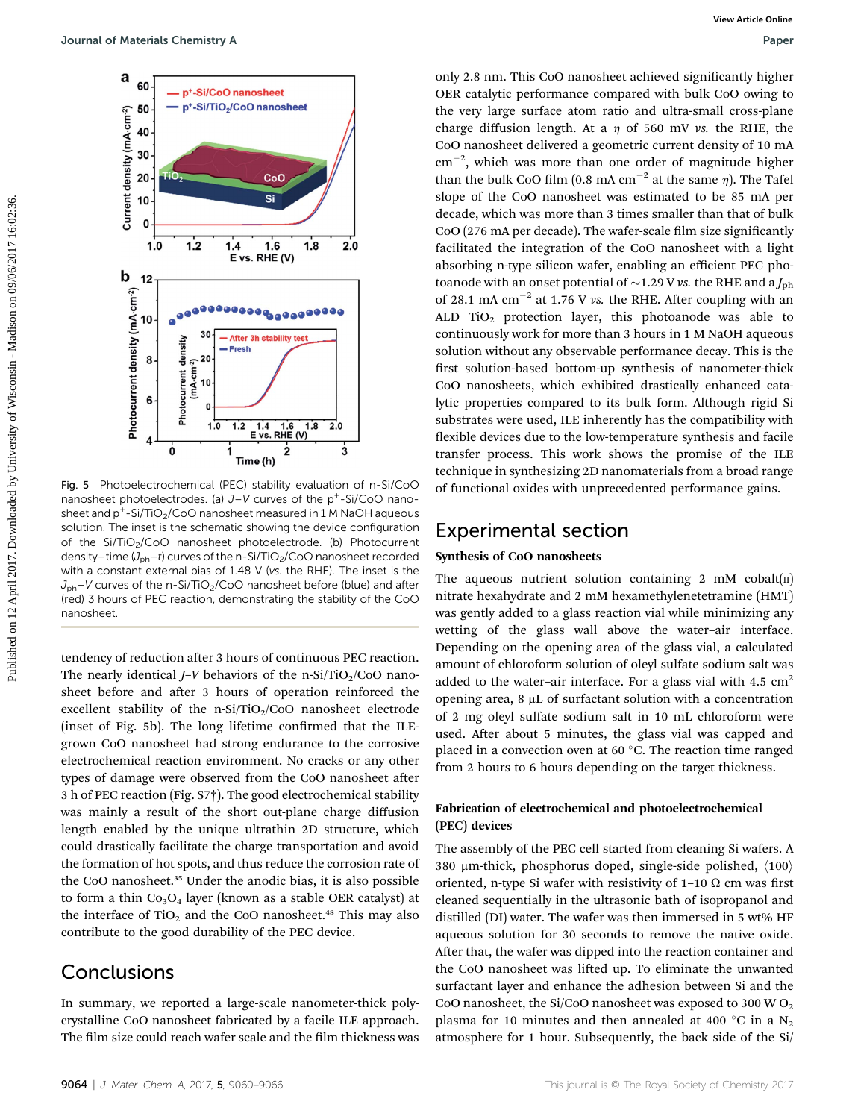

Fig. 5 Photoelectrochemical (PEC) stability evaluation of n-Si/CoO nanosheet photoelectrodes. (a)  $J-V$  curves of the  $p^+$ -Si/CoO nanosheet and  $p^+$ -Si/TiO<sub>2</sub>/CoO nanosheet measured in 1 M NaOH aqueous solution. The inset is the schematic showing the device configuration of the Si/TiO<sub>2</sub>/CoO nanosheet photoelectrode. (b) Photocurrent density–time ( $J_{ph}$ –t) curves of the n-Si/TiO<sub>2</sub>/CoO nanosheet recorded with a constant external bias of 1.48 V (vs. the RHE). The inset is the  $J_{\text{ph}}$ –V curves of the n-Si/TiO<sub>2</sub>/CoO nanosheet before (blue) and after (red) 3 hours of PEC reaction, demonstrating the stability of the CoO nanosheet.

tendency of reduction after 3 hours of continuous PEC reaction. The nearly identical  $I-V$  behaviors of the n-Si/TiO<sub>2</sub>/CoO nanosheet before and after 3 hours of operation reinforced the excellent stability of the n-Si/TiO<sub>2</sub>/CoO nanosheet electrode (inset of Fig. 5b). The long lifetime confirmed that the ILEgrown CoO nanosheet had strong endurance to the corrosive electrochemical reaction environment. No cracks or any other types of damage were observed from the CoO nanosheet after 3 h of PEC reaction (Fig. S7†). The good electrochemical stability was mainly a result of the short out-plane charge diffusion length enabled by the unique ultrathin 2D structure, which could drastically facilitate the charge transportation and avoid the formation of hot spots, and thus reduce the corrosion rate of the CoO nanosheet.<sup>35</sup> Under the anodic bias, it is also possible to form a thin  $Co<sub>3</sub>O<sub>4</sub>$  layer (known as a stable OER catalyst) at the interface of  $TiO<sub>2</sub>$  and the CoO nanosheet.<sup>48</sup> This may also contribute to the good durability of the PEC device.

## Conclusions

In summary, we reported a large-scale nanometer-thick polycrystalline CoO nanosheet fabricated by a facile ILE approach. The film size could reach wafer scale and the film thickness was

only 2.8 nm. This CoO nanosheet achieved signicantly higher OER catalytic performance compared with bulk CoO owing to the very large surface atom ratio and ultra-small cross-plane charge diffusion length. At a  $\eta$  of 560 mV vs. the RHE, the CoO nanosheet delivered a geometric current density of 10 mA  $\text{cm}^{-2}$ , which was more than one order of magnitude higher than the bulk CoO film (0.8 mA cm<sup>-2</sup> at the same  $\eta$ ). The Tafel slope of the CoO nanosheet was estimated to be 85 mA per decade, which was more than 3 times smaller than that of bulk CoO (276 mA per decade). The wafer-scale film size significantly facilitated the integration of the CoO nanosheet with a light absorbing n-type silicon wafer, enabling an efficient PEC photoanode with an onset potential of  $\sim$ 1.29 V vs. the RHE and a  $J_{\text{ph}}$ of 28.1 mA  $cm^{-2}$  at 1.76 V vs. the RHE. After coupling with an ALD  $TiO<sub>2</sub>$  protection layer, this photoanode was able to continuously work for more than 3 hours in 1 M NaOH aqueous solution without any observable performance decay. This is the first solution-based bottom-up synthesis of nanometer-thick CoO nanosheets, which exhibited drastically enhanced catalytic properties compared to its bulk form. Although rigid Si substrates were used, ILE inherently has the compatibility with flexible devices due to the low-temperature synthesis and facile transfer process. This work shows the promise of the ILE technique in synthesizing 2D nanomaterials from a broad range of functional oxides with unprecedented performance gains. Sources of the control of the state of the state of the state of the state of the state of the state of the state of the state of the state of the state of the state of the state of the state of the state of the state of

## Experimental section

#### Synthesis of CoO nanosheets

The aqueous nutrient solution containing 2 mM cobalt $(n)$ nitrate hexahydrate and 2 mM hexamethylenetetramine (HMT) was gently added to a glass reaction vial while minimizing any wetting of the glass wall above the water–air interface. Depending on the opening area of the glass vial, a calculated amount of chloroform solution of oleyl sulfate sodium salt was added to the water–air interface. For a glass vial with 4.5  $\text{cm}^2$ opening area,  $8 \mu L$  of surfactant solution with a concentration of 2 mg oleyl sulfate sodium salt in 10 mL chloroform were used. After about 5 minutes, the glass vial was capped and placed in a convection oven at 60 $\degree$ C. The reaction time ranged from 2 hours to 6 hours depending on the target thickness.

### Fabrication of electrochemical and photoelectrochemical (PEC) devices

The assembly of the PEC cell started from cleaning Si wafers. A 380 µm-thick, phosphorus doped, single-side polished,  $\langle 100 \rangle$ oriented, n-type Si wafer with resistivity of  $1-10 \Omega$  cm was first cleaned sequentially in the ultrasonic bath of isopropanol and distilled (DI) water. The wafer was then immersed in 5 wt% HF aqueous solution for 30 seconds to remove the native oxide. After that, the wafer was dipped into the reaction container and the CoO nanosheet was lifted up. To eliminate the unwanted surfactant layer and enhance the adhesion between Si and the CoO nanosheet, the Si/CoO nanosheet was exposed to 300 W  $O_2$ plasma for 10 minutes and then annealed at 400 °C in a  $N_2$ atmosphere for 1 hour. Subsequently, the back side of the Si/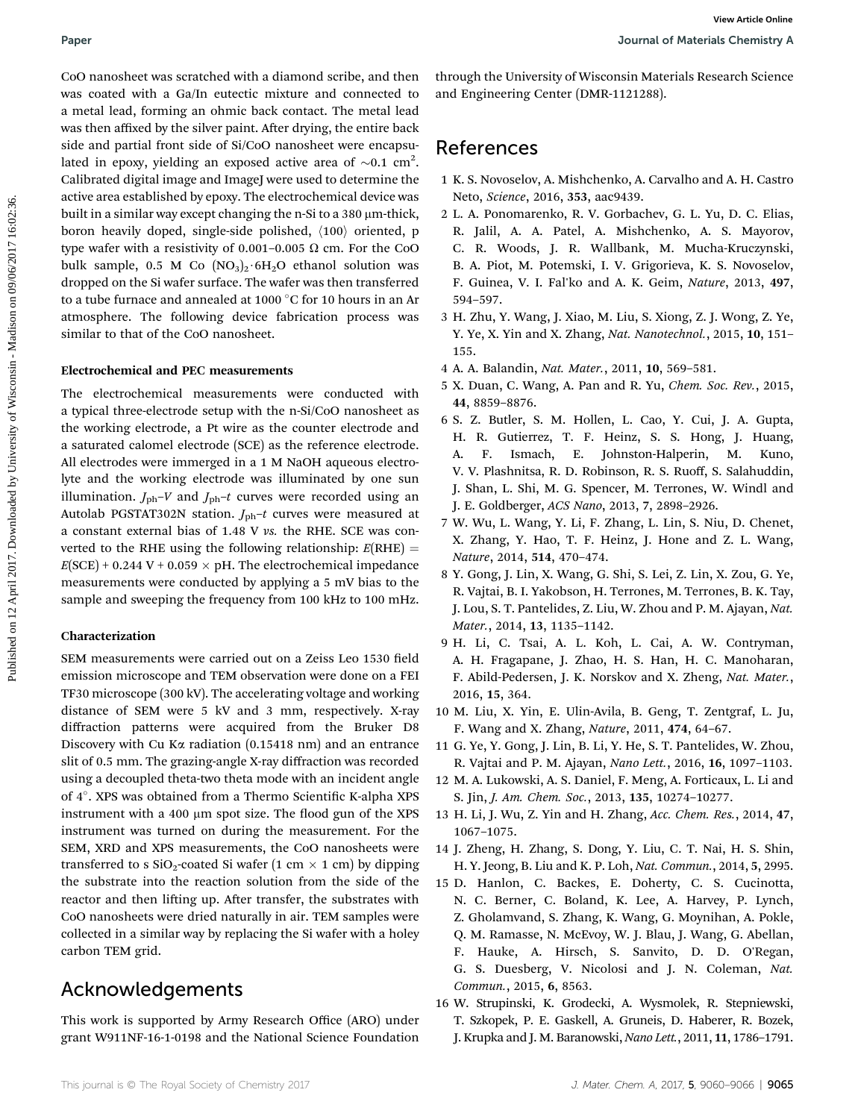CoO nanosheet was scratched with a diamond scribe, and then was coated with a Ga/In eutectic mixture and connected to a metal lead, forming an ohmic back contact. The metal lead was then affixed by the silver paint. After drying, the entire back side and partial front side of Si/CoO nanosheet were encapsulated in epoxy, yielding an exposed active area of  $\sim 0.1 \text{ cm}^2$ . Calibrated digital image and ImageJ were used to determine the active area established by epoxy. The electrochemical device was built in a similar way except changing the n-Si to a 380  $\mu$ m-thick, boron heavily doped, single-side polished,  $\langle 100 \rangle$  oriented, p type wafer with a resistivity of 0.001-0.005  $\Omega$  cm. For the CoO bulk sample, 0.5 M Co  $(NO<sub>3</sub>)<sub>2</sub>·6H<sub>2</sub>O$  ethanol solution was dropped on the Si wafer surface. The wafer was then transferred to a tube furnace and annealed at 1000  $\degree$ C for 10 hours in an Ar atmosphere. The following device fabrication process was similar to that of the CoO nanosheet. **Paper**<br>
Cot anoted by the significant of the significant of the significant of the significant of the significant of the significant of the significant of the significant of the significant of the significant of the sign

### Electrochemical and PEC measurements

The electrochemical measurements were conducted with a typical three-electrode setup with the n-Si/CoO nanosheet as the working electrode, a Pt wire as the counter electrode and a saturated calomel electrode (SCE) as the reference electrode. All electrodes were immerged in a 1 M NaOH aqueous electrolyte and the working electrode was illuminated by one sun illumination.  $J_{\text{ph}}-V$  and  $J_{\text{ph}}-t$  curves were recorded using an Autolab PGSTAT302N station.  $J_{ph}$ -t curves were measured at a constant external bias of 1.48 V vs. the RHE. SCE was converted to the RHE using the following relationship:  $E(RHE)$  =  $E(SCE)$  + 0.244 V + 0.059  $\times$  pH. The electrochemical impedance measurements were conducted by applying a 5 mV bias to the sample and sweeping the frequency from 100 kHz to 100 mHz.

#### Characterization

SEM measurements were carried out on a Zeiss Leo 1530 field emission microscope and TEM observation were done on a FEI TF30 microscope (300 kV). The accelerating voltage and working distance of SEM were 5 kV and 3 mm, respectively. X-ray diffraction patterns were acquired from the Bruker D8 Discovery with Cu K $\alpha$  radiation (0.15418 nm) and an entrance slit of 0.5 mm. The grazing-angle X-ray diffraction was recorded using a decoupled theta-two theta mode with an incident angle of 4°. XPS was obtained from a Thermo Scientific K-alpha XPS instrument with a 400  $\mu$ m spot size. The flood gun of the XPS instrument was turned on during the measurement. For the SEM, XRD and XPS measurements, the CoO nanosheets were transferred to s  $SiO_2$ -coated Si wafer (1 cm  $\times$  1 cm) by dipping the substrate into the reaction solution from the side of the reactor and then lifting up. After transfer, the substrates with CoO nanosheets were dried naturally in air. TEM samples were collected in a similar way by replacing the Si wafer with a holey carbon TEM grid.

# Acknowledgements

This work is supported by Army Research Office (ARO) under grant W911NF-16-1-0198 and the National Science Foundation

through the University of Wisconsin Materials Research Science and Engineering Center (DMR-1121288).

# References

- 1 K. S. Novoselov, A. Mishchenko, A. Carvalho and A. H. Castro Neto, Science, 2016, 353, aac9439.
- 2 L. A. Ponomarenko, R. V. Gorbachev, G. L. Yu, D. C. Elias, R. Jalil, A. A. Patel, A. Mishchenko, A. S. Mayorov, C. R. Woods, J. R. Wallbank, M. Mucha-Kruczynski, B. A. Piot, M. Potemski, I. V. Grigorieva, K. S. Novoselov, F. Guinea, V. I. Fal'ko and A. K. Geim, Nature, 2013, 497, 594–597.
- 3 H. Zhu, Y. Wang, J. Xiao, M. Liu, S. Xiong, Z. J. Wong, Z. Ye, Y. Ye, X. Yin and X. Zhang, Nat. Nanotechnol., 2015, 10, 151– 155.
- 4 A. A. Balandin, Nat. Mater., 2011, 10, 569–581.
- 5 X. Duan, C. Wang, A. Pan and R. Yu, Chem. Soc. Rev., 2015, 44, 8859–8876.
- 6 S. Z. Butler, S. M. Hollen, L. Cao, Y. Cui, J. A. Gupta, H. R. Gutierrez, T. F. Heinz, S. S. Hong, J. Huang, A. F. Ismach, E. Johnston-Halperin, M. Kuno, V. V. Plashnitsa, R. D. Robinson, R. S. Ruoff, S. Salahuddin, J. Shan, L. Shi, M. G. Spencer, M. Terrones, W. Windl and J. E. Goldberger, ACS Nano, 2013, 7, 2898–2926.
- 7 W. Wu, L. Wang, Y. Li, F. Zhang, L. Lin, S. Niu, D. Chenet, X. Zhang, Y. Hao, T. F. Heinz, J. Hone and Z. L. Wang, Nature, 2014, 514, 470–474.
- 8 Y. Gong, J. Lin, X. Wang, G. Shi, S. Lei, Z. Lin, X. Zou, G. Ye, R. Vajtai, B. I. Yakobson, H. Terrones, M. Terrones, B. K. Tay, J. Lou, S. T. Pantelides, Z. Liu, W. Zhou and P. M. Ajayan, Nat. Mater., 2014, 13, 1135–1142.
- 9 H. Li, C. Tsai, A. L. Koh, L. Cai, A. W. Contryman, A. H. Fragapane, J. Zhao, H. S. Han, H. C. Manoharan, F. Abild-Pedersen, J. K. Norskov and X. Zheng, Nat. Mater., 2016, 15, 364.
- 10 M. Liu, X. Yin, E. Ulin-Avila, B. Geng, T. Zentgraf, L. Ju, F. Wang and X. Zhang, Nature, 2011, 474, 64–67.
- 11 G. Ye, Y. Gong, J. Lin, B. Li, Y. He, S. T. Pantelides, W. Zhou, R. Vajtai and P. M. Ajayan, Nano Lett., 2016, 16, 1097–1103.
- 12 M. A. Lukowski, A. S. Daniel, F. Meng, A. Forticaux, L. Li and S. Jin, J. Am. Chem. Soc., 2013, 135, 10274–10277.
- 13 H. Li, J. Wu, Z. Yin and H. Zhang, Acc. Chem. Res., 2014, 47, 1067–1075.
- 14 J. Zheng, H. Zhang, S. Dong, Y. Liu, C. T. Nai, H. S. Shin, H. Y. Jeong, B. Liu and K. P. Loh, Nat. Commun., 2014, 5, 2995.
- 15 D. Hanlon, C. Backes, E. Doherty, C. S. Cucinotta, N. C. Berner, C. Boland, K. Lee, A. Harvey, P. Lynch, Z. Gholamvand, S. Zhang, K. Wang, G. Moynihan, A. Pokle, Q. M. Ramasse, N. McEvoy, W. J. Blau, J. Wang, G. Abellan, F. Hauke, A. Hirsch, S. Sanvito, D. D. O'Regan, G. S. Duesberg, V. Nicolosi and J. N. Coleman, Nat. Commun., 2015, 6, 8563.
- 16 W. Strupinski, K. Grodecki, A. Wysmolek, R. Stepniewski, T. Szkopek, P. E. Gaskell, A. Gruneis, D. Haberer, R. Bozek, J. Krupka and J. M. Baranowski, Nano Lett., 2011, 11, 1786–1791.